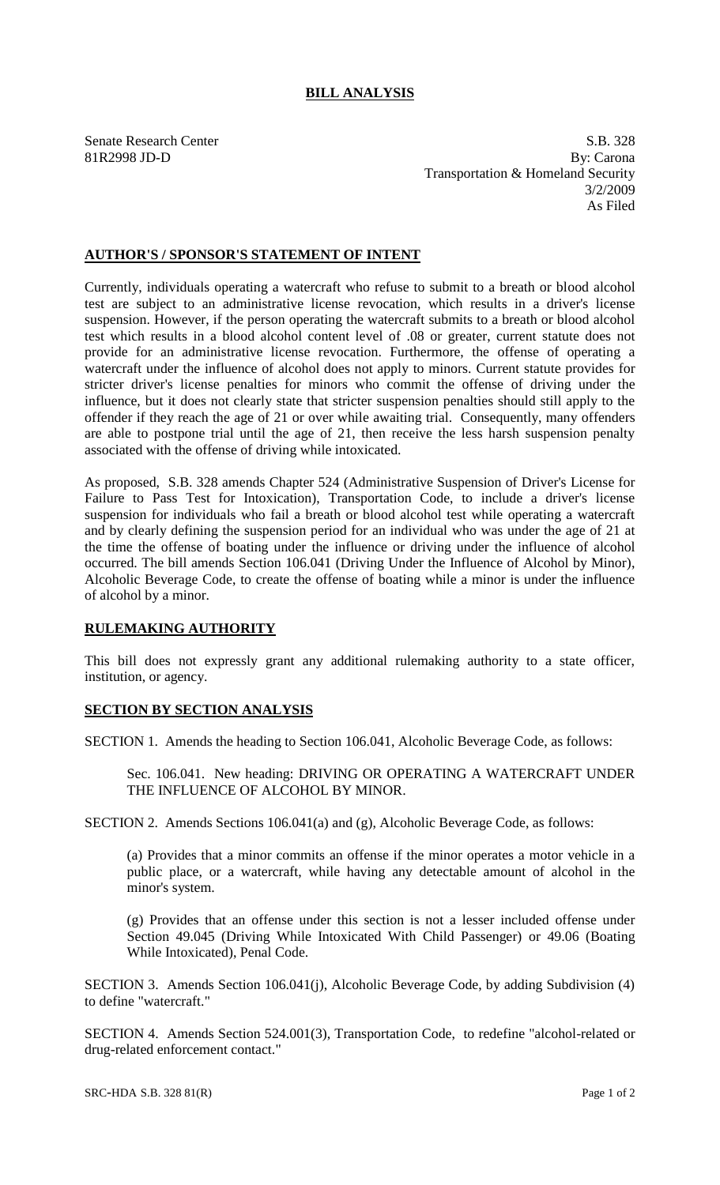## **BILL ANALYSIS**

Senate Research Center S.B. 328 81R2998 JD-D By: Carona Transportation & Homeland Security 3/2/2009 As Filed

## **AUTHOR'S / SPONSOR'S STATEMENT OF INTENT**

Currently, individuals operating a watercraft who refuse to submit to a breath or blood alcohol test are subject to an administrative license revocation, which results in a driver's license suspension. However, if the person operating the watercraft submits to a breath or blood alcohol test which results in a blood alcohol content level of .08 or greater, current statute does not provide for an administrative license revocation. Furthermore, the offense of operating a watercraft under the influence of alcohol does not apply to minors. Current statute provides for stricter driver's license penalties for minors who commit the offense of driving under the influence, but it does not clearly state that stricter suspension penalties should still apply to the offender if they reach the age of 21 or over while awaiting trial. Consequently, many offenders are able to postpone trial until the age of 21, then receive the less harsh suspension penalty associated with the offense of driving while intoxicated.

As proposed, S.B. 328 amends Chapter 524 (Administrative Suspension of Driver's License for Failure to Pass Test for Intoxication), Transportation Code, to include a driver's license suspension for individuals who fail a breath or blood alcohol test while operating a watercraft and by clearly defining the suspension period for an individual who was under the age of 21 at the time the offense of boating under the influence or driving under the influence of alcohol occurred. The bill amends Section 106.041 (Driving Under the Influence of Alcohol by Minor), Alcoholic Beverage Code, to create the offense of boating while a minor is under the influence of alcohol by a minor.

## **RULEMAKING AUTHORITY**

This bill does not expressly grant any additional rulemaking authority to a state officer, institution, or agency.

## **SECTION BY SECTION ANALYSIS**

SECTION 1. Amends the heading to Section 106.041, Alcoholic Beverage Code, as follows:

Sec. 106.041. New heading: DRIVING OR OPERATING A WATERCRAFT UNDER THE INFLUENCE OF ALCOHOL BY MINOR.

SECTION 2. Amends Sections 106.041(a) and (g), Alcoholic Beverage Code, as follows:

(a) Provides that a minor commits an offense if the minor operates a motor vehicle in a public place, or a watercraft, while having any detectable amount of alcohol in the minor's system.

(g) Provides that an offense under this section is not a lesser included offense under Section 49.045 (Driving While Intoxicated With Child Passenger) or 49.06 (Boating While Intoxicated), Penal Code.

SECTION 3. Amends Section 106.041(j), Alcoholic Beverage Code, by adding Subdivision (4) to define "watercraft."

SECTION 4. Amends Section 524.001(3), Transportation Code, to redefine "alcohol-related or drug-related enforcement contact."